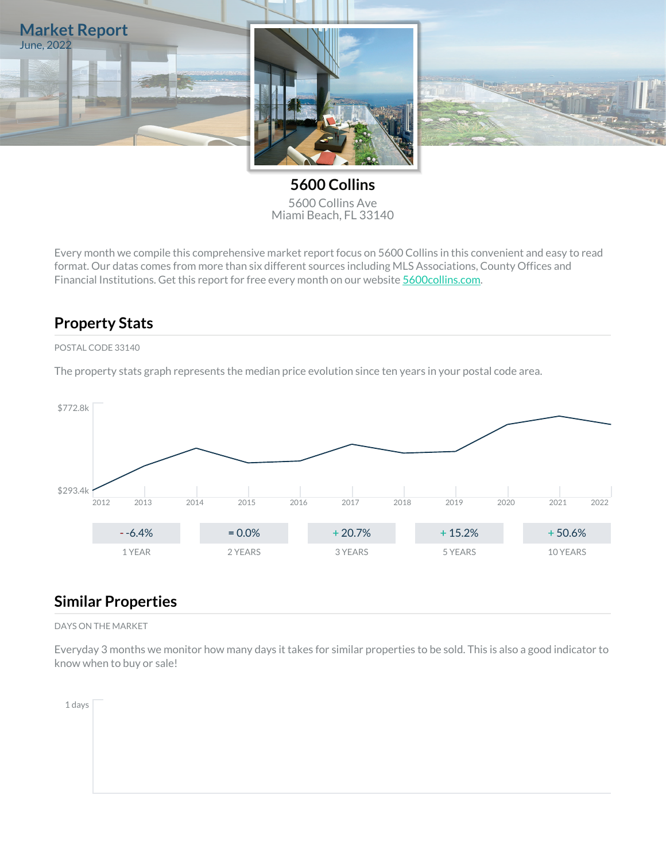

**5600 Collins** 5600 Collins Ave Miami Beach, FL 33140

Every month we compile this comprehensive market report focus on 5600 Collins in this convenient and easy to read format. Our datas comes from more than six different sources including MLS Associations, County Offices and Financial Institutions. Get this report for free every month on our website [5600collins.com.](https://5600collins.com)

## **Property Stats**

#### POSTAL CODE 33140

The property stats graph represents the median price evolution since ten years in your postal code area.



## **Similar Properties**

DAYS ON THE MARKET

Everyday 3 months we monitor how many days it takes for similar properties to be sold. This is also a good indicator to know when to buy or sale!

1 days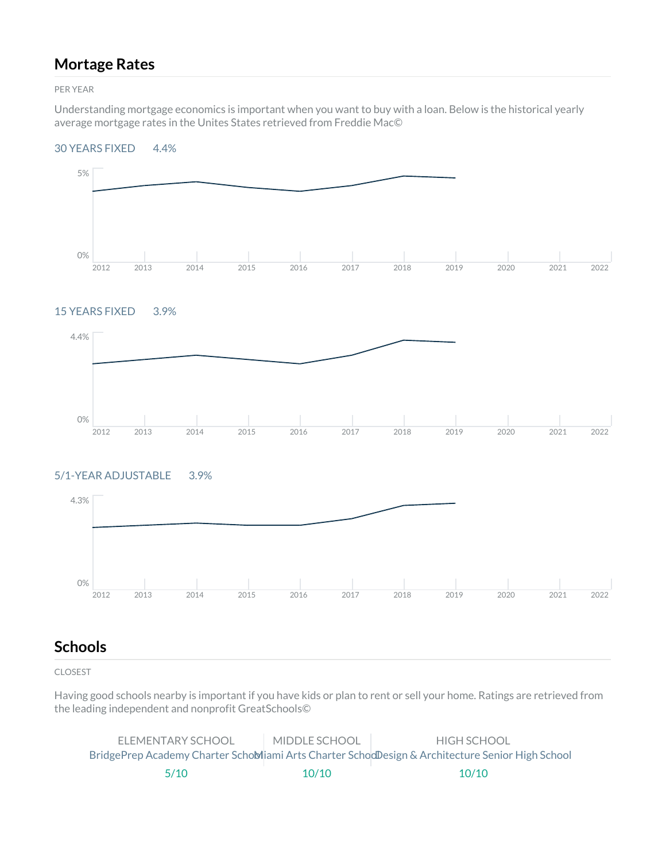## **Mortage Rates**

PER YEAR

Understanding mortgage economics is important when you want to buy with a loan. Below is the historical yearly average mortgage rates in the Unites States retrieved from Freddie Mac©

#### 30 YEARS FIXED 4.4%



#### 15 YEARS FIXED 3.9%



#### 5/1-YEAR ADJUSTABLE 3.9%



## **Schools**

CLOSEST

Having good schools nearby is important if you have kids or plan to rent or sell your home. Ratings are retrieved from the leading independent and nonprofit GreatSchools©

| ELEMENTARY SCHOOL | MIDDLE SCHOOL | HIGH SCHOOL                                                                                     |
|-------------------|---------------|-------------------------------------------------------------------------------------------------|
|                   |               | BridgePrep Academy Charter SchoMiami Arts Charter SchodDesign & Architecture Senior High School |
| 5/10              | 10/10         | 10/10                                                                                           |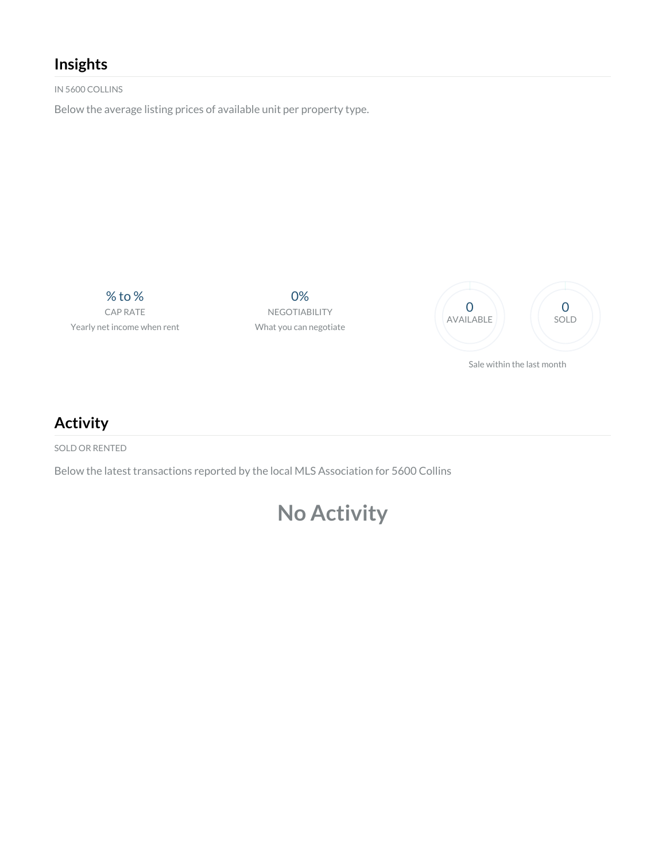# **Insights**

IN 5600 COLLINS

Below the average listing prices of available unit per property type.

% to % CAP RATE Yearly net income when rent

0% NEGOTIABILITY What you can negotiate



**Activity**

SOLD OR RENTED

Below the latest transactions reported by the local MLS Association for 5600 Collins

# **No Activity**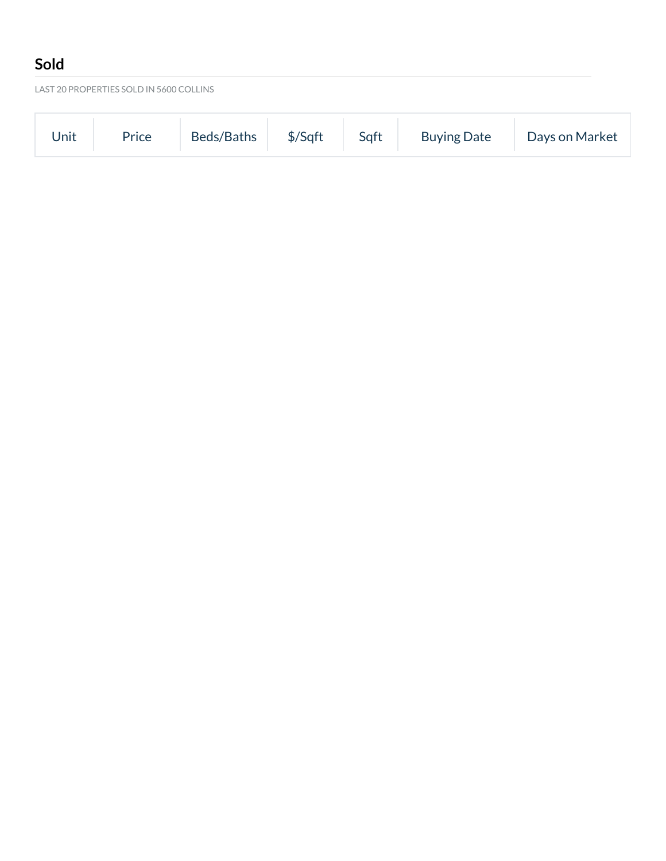# **Sold**

LAST 20 PROPERTIES SOLD IN 5600 COLLINS

| Beds/Baths   \$/Sqft   Sqft   Buying Date   Days on Market<br>Price<br>Unit |  |
|-----------------------------------------------------------------------------|--|
|-----------------------------------------------------------------------------|--|